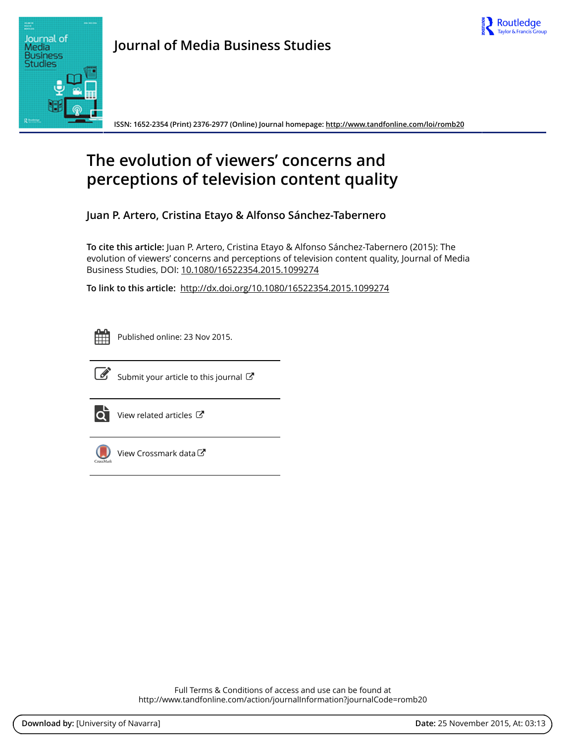



**Journal of Media Business Studies**

**ISSN: 1652-2354 (Print) 2376-2977 (Online) Journal homepage:<http://www.tandfonline.com/loi/romb20>**

# **The evolution of viewers' concerns and perceptions of television content quality**

**Juan P. Artero, Cristina Etayo & Alfonso Sánchez-Tabernero**

**To cite this article:** Juan P. Artero, Cristina Etayo & Alfonso Sánchez-Tabernero (2015): The evolution of viewers' concerns and perceptions of television content quality, Journal of Media Business Studies, DOI: [10.1080/16522354.2015.1099274](http://www.tandfonline.com/action/showCitFormats?doi=10.1080/16522354.2015.1099274)

**To link to this article:** <http://dx.doi.org/10.1080/16522354.2015.1099274>



Published online: 23 Nov 2015.



 $\overrightarrow{S}$  [Submit your article to this journal](http://www.tandfonline.com/action/authorSubmission?journalCode=romb20&page=instructions)  $\overrightarrow{S}$ 



[View related articles](http://www.tandfonline.com/doi/mlt/10.1080/16522354.2015.1099274)  $\mathbb{Z}$ 



[View Crossmark data](http://crossmark.crossref.org/dialog/?doi=10.1080/16522354.2015.1099274&domain=pdf&date_stamp=2015-11-23)

Full Terms & Conditions of access and use can be found at <http://www.tandfonline.com/action/journalInformation?journalCode=romb20>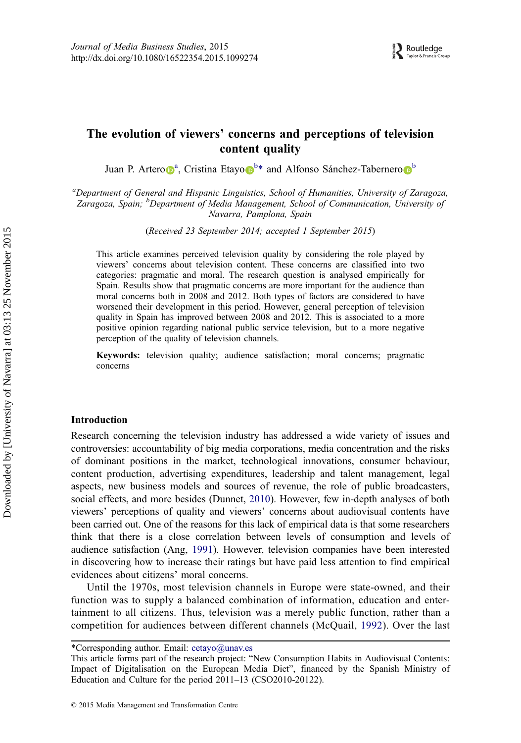## The evolution of viewers' concerns and perceptions of television content quality

Juan P. Artero<sup>®</sup>, Cristina Etayo<sup>®</sup>\* and Alfonso Sánchez-Ta[b](http://orcid.org/0000-0002-8464-0691)ernero<sup>®</sup>

<sup>a</sup>Department of General and Hispanic Linguistics, School of Humanities, University of Zaragoza, Zaragoza, Spain; <sup>b</sup>Department of Media Management, School of Communication, University of Navarra, Pamplona, Spain

(Received 23 September 2014; accepted 1 September 2015)

This article examines perceived television quality by considering the role played by viewers' concerns about television content. These concerns are classified into two categories: pragmatic and moral. The research question is analysed empirically for Spain. Results show that pragmatic concerns are more important for the audience than moral concerns both in 2008 and 2012. Both types of factors are considered to have worsened their development in this period. However, general perception of television quality in Spain has improved between 2008 and 2012. This is associated to a more positive opinion regarding national public service television, but to a more negative perception of the quality of television channels.

Keywords: television quality; audience satisfaction; moral concerns; pragmatic concerns

## Introduction

Research concerning the television industry has addressed a wide variety of issues and controversies: accountability of big media corporations, media concentration and the risks of dominant positions in the market, technological innovations, consumer behaviour, content production, advertising expenditures, leadership and talent management, legal aspects, new business models and sources of revenue, the role of public broadcasters, social effects, and more besides (Dunnet, [2010](#page-18-0)). However, few in-depth analyses of both viewers' perceptions of quality and viewers' concerns about audiovisual contents have been carried out. One of the reasons for this lack of empirical data is that some researchers think that there is a close correlation between levels of consumption and levels of audience satisfaction (Ang, [1991\)](#page-18-0). However, television companies have been interested in discovering how to increase their ratings but have paid less attention to find empirical evidences about citizens' moral concerns.

Until the 1970s, most television channels in Europe were state-owned, and their function was to supply a balanced combination of information, education and entertainment to all citizens. Thus, television was a merely public function, rather than a competition for audiences between different channels (McQuail, [1992](#page-19-0)). Over the last

<sup>\*</sup>Corresponding author. Email: cetayo@unav.es

This article forms part of the research project: "New Consumption Habits in Audiovisual Contents: Impact of Digitalisation on the European Media Diet", financed by the Spanish Ministry of Education and Culture for the period 2011–13 (CSO2010-20122).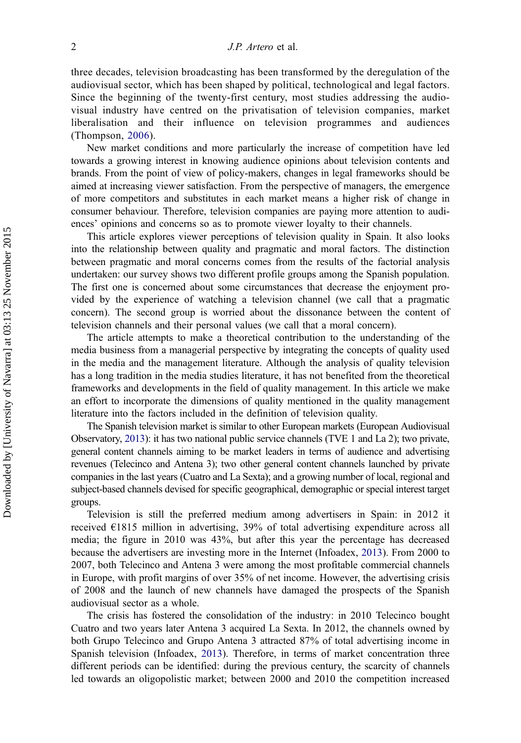three decades, television broadcasting has been transformed by the deregulation of the audiovisual sector, which has been shaped by political, technological and legal factors. Since the beginning of the twenty-first century, most studies addressing the audiovisual industry have centred on the privatisation of television companies, market liberalisation and their influence on television programmes and audiences (Thompson, [2006\)](#page-19-0).

New market conditions and more particularly the increase of competition have led towards a growing interest in knowing audience opinions about television contents and brands. From the point of view of policy-makers, changes in legal frameworks should be aimed at increasing viewer satisfaction. From the perspective of managers, the emergence of more competitors and substitutes in each market means a higher risk of change in consumer behaviour. Therefore, television companies are paying more attention to audiences' opinions and concerns so as to promote viewer loyalty to their channels.

This article explores viewer perceptions of television quality in Spain. It also looks into the relationship between quality and pragmatic and moral factors. The distinction between pragmatic and moral concerns comes from the results of the factorial analysis undertaken: our survey shows two different profile groups among the Spanish population. The first one is concerned about some circumstances that decrease the enjoyment provided by the experience of watching a television channel (we call that a pragmatic concern). The second group is worried about the dissonance between the content of television channels and their personal values (we call that a moral concern).

The article attempts to make a theoretical contribution to the understanding of the media business from a managerial perspective by integrating the concepts of quality used in the media and the management literature. Although the analysis of quality television has a long tradition in the media studies literature, it has not benefited from the theoretical frameworks and developments in the field of quality management. In this article we make an effort to incorporate the dimensions of quality mentioned in the quality management literature into the factors included in the definition of television quality.

The Spanish television market is similar to other European markets (European Audiovisual Observatory, [2013](#page-18-0)): it has two national public service channels (TVE 1 and La 2); two private, general content channels aiming to be market leaders in terms of audience and advertising revenues (Telecinco and Antena 3); two other general content channels launched by private companies in the last years (Cuatro and La Sexta); and a growing number of local, regional and subject-based channels devised for specific geographical, demographic or special interest target groups.

Television is still the preferred medium among advertisers in Spain: in 2012 it received €1815 million in advertising, 39% of total advertising expenditure across all media; the figure in 2010 was 43%, but after this year the percentage has decreased because the advertisers are investing more in the Internet (Infoadex, [2013](#page-19-0)). From 2000 to 2007, both Telecinco and Antena 3 were among the most profitable commercial channels in Europe, with profit margins of over 35% of net income. However, the advertising crisis of 2008 and the launch of new channels have damaged the prospects of the Spanish audiovisual sector as a whole.

The crisis has fostered the consolidation of the industry: in 2010 Telecinco bought Cuatro and two years later Antena 3 acquired La Sexta. In 2012, the channels owned by both Grupo Telecinco and Grupo Antena 3 attracted 87% of total advertising income in Spanish television (Infoadex, [2013\)](#page-19-0). Therefore, in terms of market concentration three different periods can be identified: during the previous century, the scarcity of channels led towards an oligopolistic market; between 2000 and 2010 the competition increased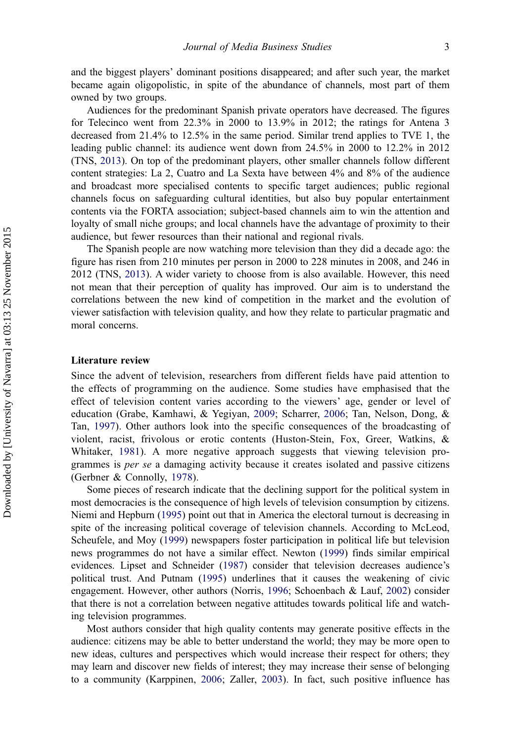and the biggest players' dominant positions disappeared; and after such year, the market became again oligopolistic, in spite of the abundance of channels, most part of them owned by two groups.

Audiences for the predominant Spanish private operators have decreased. The figures for Telecinco went from 22.3% in 2000 to 13.9% in 2012; the ratings for Antena 3 decreased from 21.4% to 12.5% in the same period. Similar trend applies to TVE 1, the leading public channel: its audience went down from 24.5% in 2000 to 12.2% in 2012 (TNS, [2013\)](#page-19-0). On top of the predominant players, other smaller channels follow different content strategies: La 2, Cuatro and La Sexta have between 4% and 8% of the audience and broadcast more specialised contents to specific target audiences; public regional channels focus on safeguarding cultural identities, but also buy popular entertainment contents via the FORTA association; subject-based channels aim to win the attention and loyalty of small niche groups; and local channels have the advantage of proximity to their audience, but fewer resources than their national and regional rivals.

The Spanish people are now watching more television than they did a decade ago: the figure has risen from 210 minutes per person in 2000 to 228 minutes in 2008, and 246 in 2012 (TNS, [2013](#page-19-0)). A wider variety to choose from is also available. However, this need not mean that their perception of quality has improved. Our aim is to understand the correlations between the new kind of competition in the market and the evolution of viewer satisfaction with television quality, and how they relate to particular pragmatic and moral concerns.

## Literature review

Since the advent of television, researchers from different fields have paid attention to the effects of programming on the audience. Some studies have emphasised that the effect of television content varies according to the viewers' age, gender or level of education (Grabe, Kamhawi, & Yegiyan, [2009;](#page-18-0) Scharrer, [2006](#page-19-0); Tan, Nelson, Dong, & Tan, [1997](#page-19-0)). Other authors look into the specific consequences of the broadcasting of violent, racist, frivolous or erotic contents (Huston-Stein, Fox, Greer, Watkins, & Whitaker, [1981\)](#page-18-0). A more negative approach suggests that viewing television programmes is per se a damaging activity because it creates isolated and passive citizens (Gerbner & Connolly, [1978](#page-18-0)).

Some pieces of research indicate that the declining support for the political system in most democracies is the consequence of high levels of television consumption by citizens. Niemi and Hepburn [\(1995](#page-19-0)) point out that in America the electoral turnout is decreasing in spite of the increasing political coverage of television channels. According to McLeod, Scheufele, and Moy ([1999\)](#page-19-0) newspapers foster participation in political life but television news programmes do not have a similar effect. Newton [\(1999](#page-19-0)) finds similar empirical evidences. Lipset and Schneider [\(1987](#page-19-0)) consider that television decreases audience's political trust. And Putnam [\(1995](#page-19-0)) underlines that it causes the weakening of civic engagement. However, other authors (Norris, [1996](#page-19-0); Schoenbach & Lauf, [2002\)](#page-19-0) consider that there is not a correlation between negative attitudes towards political life and watching television programmes.

Most authors consider that high quality contents may generate positive effects in the audience: citizens may be able to better understand the world; they may be more open to new ideas, cultures and perspectives which would increase their respect for others; they may learn and discover new fields of interest; they may increase their sense of belonging to a community (Karppinen, [2006](#page-19-0); Zaller, [2003\)](#page-19-0). In fact, such positive influence has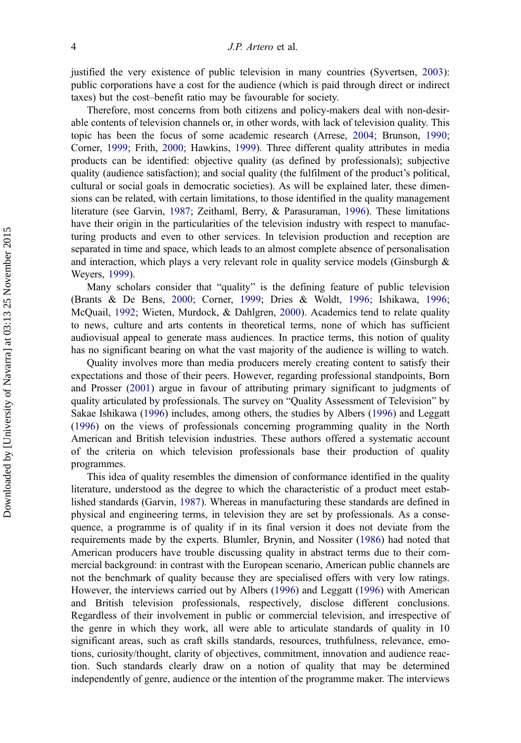justified the very existence of public television in many countries (Syvertsen, [2003](#page-19-0)): public corporations have a cost for the audience (which is paid through direct or indirect taxes) but the cost–benefit ratio may be favourable for society.

Therefore, most concerns from both citizens and policy-makers deal with non-desirable contents of television channels or, in other words, with lack of television quality. This topic has been the focus of some academic research (Arrese, [2004](#page-18-0); Brunson, [1990](#page-18-0); Corner, [1999](#page-18-0); Frith, [2000;](#page-18-0) Hawkins, [1999\)](#page-18-0). Three different quality attributes in media products can be identified: objective quality (as defined by professionals); subjective quality (audience satisfaction); and social quality (the fulfilment of the product's political, cultural or social goals in democratic societies). As will be explained later, these dimensions can be related, with certain limitations, to those identified in the quality management literature (see Garvin, [1987](#page-18-0); Zeithaml, Berry, & Parasuraman, [1996\)](#page-19-0). These limitations have their origin in the particularities of the television industry with respect to manufacturing products and even to other services. In television production and reception are separated in time and space, which leads to an almost complete absence of personalisation and interaction, which plays a very relevant role in quality service models (Ginsburgh & Weyers, [1999](#page-18-0)).

Many scholars consider that "quality" is the defining feature of public television (Brants & De Bens, [2000;](#page-18-0) Corner, [1999](#page-18-0); Dries & Woldt, [1996](#page-18-0); Ishikawa, [1996](#page-19-0); McQuail, [1992](#page-19-0); Wieten, Murdock, & Dahlgren, [2000](#page-19-0)). Academics tend to relate quality to news, culture and arts contents in theoretical terms, none of which has sufficient audiovisual appeal to generate mass audiences. In practice terms, this notion of quality has no significant bearing on what the vast majority of the audience is willing to watch.

Quality involves more than media producers merely creating content to satisfy their expectations and those of their peers. However, regarding professional standpoints, Born and Prosser ([2001\)](#page-18-0) argue in favour of attributing primary significant to judgments of quality articulated by professionals. The survey on "Quality Assessment of Television" by Sakae Ishikawa ([1996\)](#page-19-0) includes, among others, the studies by Albers [\(1996](#page-18-0)) and Leggatt ([1996](#page-19-0)) on the views of professionals concerning programming quality in the North American and British television industries. These authors offered a systematic account of the criteria on which television professionals base their production of quality programmes.

This idea of quality resembles the dimension of conformance identified in the quality literature, understood as the degree to which the characteristic of a product meet established standards (Garvin, [1987](#page-18-0)). Whereas in manufacturing these standards are defined in physical and engineering terms, in television they are set by professionals. As a consequence, a programme is of quality if in its final version it does not deviate from the requirements made by the experts. Blumler, Brynin, and Nossiter ([1986\)](#page-18-0) had noted that American producers have trouble discussing quality in abstract terms due to their commercial background: in contrast with the European scenario, American public channels are not the benchmark of quality because they are specialised offers with very low ratings. However, the interviews carried out by Albers ([1996\)](#page-18-0) and Leggatt [\(1996](#page-19-0)) with American and British television professionals, respectively, disclose different conclusions. Regardless of their involvement in public or commercial television, and irrespective of the genre in which they work, all were able to articulate standards of quality in 10 significant areas, such as craft skills standards, resources, truthfulness, relevance, emotions, curiosity/thought, clarity of objectives, commitment, innovation and audience reaction. Such standards clearly draw on a notion of quality that may be determined independently of genre, audience or the intention of the programme maker. The interviews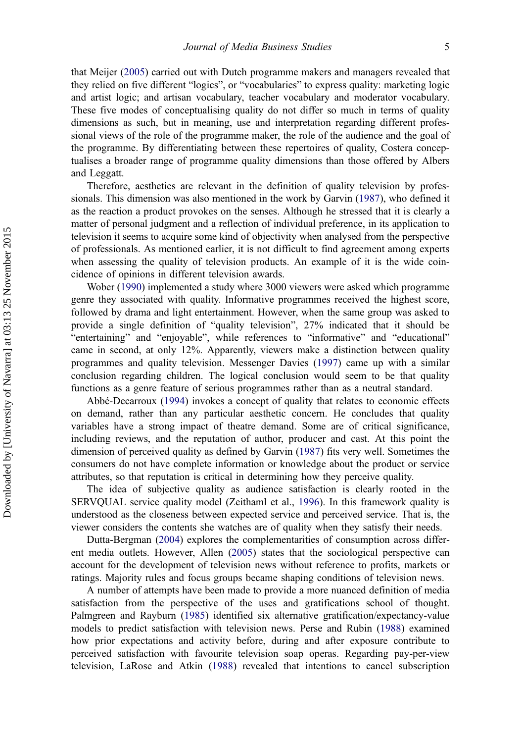that Meijer [\(2005](#page-19-0)) carried out with Dutch programme makers and managers revealed that they relied on five different "logics", or "vocabularies" to express quality: marketing logic and artist logic; and artisan vocabulary, teacher vocabulary and moderator vocabulary. These five modes of conceptualising quality do not differ so much in terms of quality dimensions as such, but in meaning, use and interpretation regarding different professional views of the role of the programme maker, the role of the audience and the goal of the programme. By differentiating between these repertoires of quality, Costera conceptualises a broader range of programme quality dimensions than those offered by Albers and Leggatt.

Therefore, aesthetics are relevant in the definition of quality television by professionals. This dimension was also mentioned in the work by Garvin ([1987\)](#page-18-0), who defined it as the reaction a product provokes on the senses. Although he stressed that it is clearly a matter of personal judgment and a reflection of individual preference, in its application to television it seems to acquire some kind of objectivity when analysed from the perspective of professionals. As mentioned earlier, it is not difficult to find agreement among experts when assessing the quality of television products. An example of it is the wide coincidence of opinions in different television awards.

Wober [\(1990](#page-19-0)) implemented a study where 3000 viewers were asked which programme genre they associated with quality. Informative programmes received the highest score, followed by drama and light entertainment. However, when the same group was asked to provide a single definition of "quality television", 27% indicated that it should be "entertaining" and "enjoyable", while references to "informative" and "educational" came in second, at only 12%. Apparently, viewers make a distinction between quality programmes and quality television. Messenger Davies [\(1997](#page-19-0)) came up with a similar conclusion regarding children. The logical conclusion would seem to be that quality functions as a genre feature of serious programmes rather than as a neutral standard.

Abbé-Decarroux [\(1994](#page-18-0)) invokes a concept of quality that relates to economic effects on demand, rather than any particular aesthetic concern. He concludes that quality variables have a strong impact of theatre demand. Some are of critical significance, including reviews, and the reputation of author, producer and cast. At this point the dimension of perceived quality as defined by Garvin [\(1987](#page-18-0)) fits very well. Sometimes the consumers do not have complete information or knowledge about the product or service attributes, so that reputation is critical in determining how they perceive quality.

The idea of subjective quality as audience satisfaction is clearly rooted in the SERVQUAL service quality model (Zeithaml et al., [1996\)](#page-19-0). In this framework quality is understood as the closeness between expected service and perceived service. That is, the viewer considers the contents she watches are of quality when they satisfy their needs.

Dutta-Bergman [\(2004](#page-18-0)) explores the complementarities of consumption across different media outlets. However, Allen [\(2005](#page-18-0)) states that the sociological perspective can account for the development of television news without reference to profits, markets or ratings. Majority rules and focus groups became shaping conditions of television news.

A number of attempts have been made to provide a more nuanced definition of media satisfaction from the perspective of the uses and gratifications school of thought. Palmgreen and Rayburn ([1985](#page-19-0)) identified six alternative gratification/expectancy-value models to predict satisfaction with television news. Perse and Rubin [\(1988](#page-19-0)) examined how prior expectations and activity before, during and after exposure contribute to perceived satisfaction with favourite television soap operas. Regarding pay-per-view television, LaRose and Atkin ([1988\)](#page-19-0) revealed that intentions to cancel subscription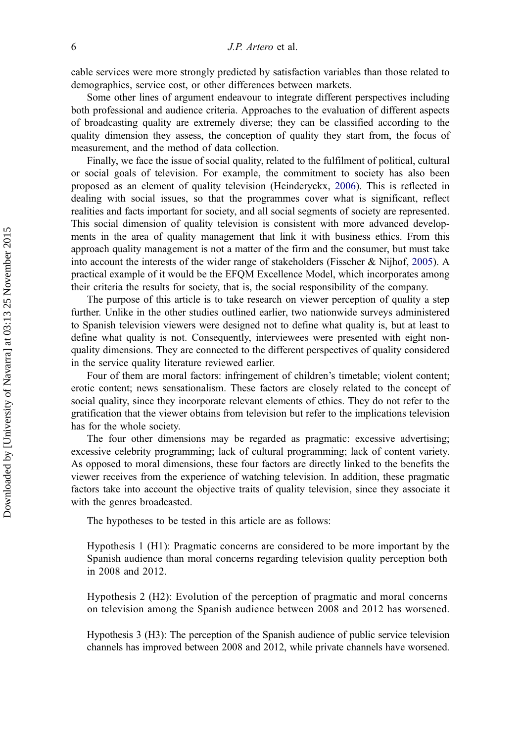cable services were more strongly predicted by satisfaction variables than those related to demographics, service cost, or other differences between markets.

Some other lines of argument endeavour to integrate different perspectives including both professional and audience criteria. Approaches to the evaluation of different aspects of broadcasting quality are extremely diverse; they can be classified according to the quality dimension they assess, the conception of quality they start from, the focus of measurement, and the method of data collection.

Finally, we face the issue of social quality, related to the fulfilment of political, cultural or social goals of television. For example, the commitment to society has also been proposed as an element of quality television (Heinderyckx, [2006](#page-18-0)). This is reflected in dealing with social issues, so that the programmes cover what is significant, reflect realities and facts important for society, and all social segments of society are represented. This social dimension of quality television is consistent with more advanced developments in the area of quality management that link it with business ethics. From this approach quality management is not a matter of the firm and the consumer, but must take into account the interests of the wider range of stakeholders (Fisscher & Nijhof, [2005](#page-18-0)). A practical example of it would be the EFQM Excellence Model, which incorporates among their criteria the results for society, that is, the social responsibility of the company.

The purpose of this article is to take research on viewer perception of quality a step further. Unlike in the other studies outlined earlier, two nationwide surveys administered to Spanish television viewers were designed not to define what quality is, but at least to define what quality is not. Consequently, interviewees were presented with eight nonquality dimensions. They are connected to the different perspectives of quality considered in the service quality literature reviewed earlier.

Four of them are moral factors: infringement of children's timetable; violent content; erotic content; news sensationalism. These factors are closely related to the concept of social quality, since they incorporate relevant elements of ethics. They do not refer to the gratification that the viewer obtains from television but refer to the implications television has for the whole society.

The four other dimensions may be regarded as pragmatic: excessive advertising; excessive celebrity programming; lack of cultural programming; lack of content variety. As opposed to moral dimensions, these four factors are directly linked to the benefits the viewer receives from the experience of watching television. In addition, these pragmatic factors take into account the objective traits of quality television, since they associate it with the genres broadcasted.

The hypotheses to be tested in this article are as follows:

Hypothesis 1 (H1): Pragmatic concerns are considered to be more important by the Spanish audience than moral concerns regarding television quality perception both in 2008 and 2012.

Hypothesis 2 (H2): Evolution of the perception of pragmatic and moral concerns on television among the Spanish audience between 2008 and 2012 has worsened.

Hypothesis 3 (H3): The perception of the Spanish audience of public service television channels has improved between 2008 and 2012, while private channels have worsened.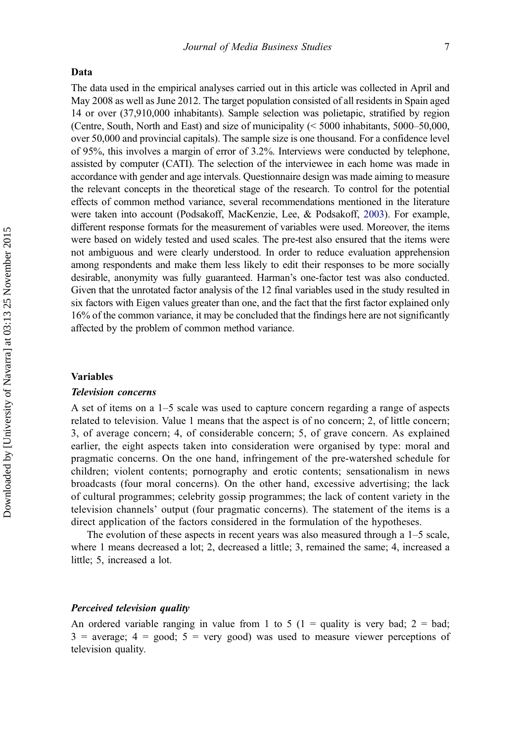## Data

The data used in the empirical analyses carried out in this article was collected in April and May 2008 as well as June 2012. The target population consisted of all residents in Spain aged 14 or over (37,910,000 inhabitants). Sample selection was polietapic, stratified by region (Centre, South, North and East) and size of municipality (< 5000 inhabitants, 5000–50,000, over 50,000 and provincial capitals). The sample size is one thousand. For a confidence level of 95%, this involves a margin of error of 3.2%. Interviews were conducted by telephone, assisted by computer (CATI). The selection of the interviewee in each home was made in accordance with gender and age intervals. Questionnaire design was made aiming to measure the relevant concepts in the theoretical stage of the research. To control for the potential effects of common method variance, several recommendations mentioned in the literature were taken into account (Podsakoff, MacKenzie, Lee, & Podsakoff, [2003](#page-19-0)). For example, different response formats for the measurement of variables were used. Moreover, the items were based on widely tested and used scales. The pre-test also ensured that the items were not ambiguous and were clearly understood. In order to reduce evaluation apprehension among respondents and make them less likely to edit their responses to be more socially desirable, anonymity was fully guaranteed. Harman's one-factor test was also conducted. Given that the unrotated factor analysis of the 12 final variables used in the study resulted in six factors with Eigen values greater than one, and the fact that the first factor explained only 16% of the common variance, it may be concluded that the findings here are not significantly affected by the problem of common method variance.

## Variables

#### Television concerns

A set of items on a 1–5 scale was used to capture concern regarding a range of aspects related to television. Value 1 means that the aspect is of no concern; 2, of little concern; 3, of average concern; 4, of considerable concern; 5, of grave concern. As explained earlier, the eight aspects taken into consideration were organised by type: moral and pragmatic concerns. On the one hand, infringement of the pre-watershed schedule for children; violent contents; pornography and erotic contents; sensationalism in news broadcasts (four moral concerns). On the other hand, excessive advertising; the lack of cultural programmes; celebrity gossip programmes; the lack of content variety in the television channels' output (four pragmatic concerns). The statement of the items is a direct application of the factors considered in the formulation of the hypotheses.

The evolution of these aspects in recent years was also measured through a 1–5 scale, where 1 means decreased a lot; 2, decreased a little; 3, remained the same; 4, increased a little; 5, increased a lot.

## Perceived television quality

An ordered variable ranging in value from 1 to 5 (1 = quality is very bad; 2 = bad;  $3 =$  average;  $4 =$  good;  $5 =$  very good) was used to measure viewer perceptions of television quality.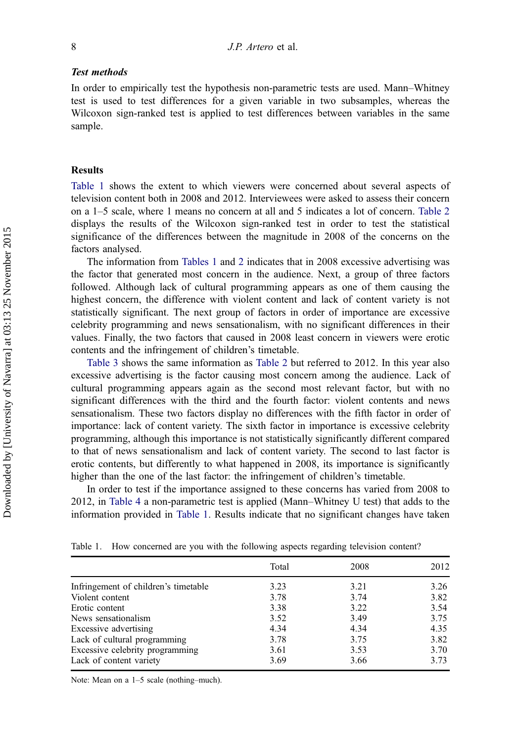## Test methods

In order to empirically test the hypothesis non-parametric tests are used. Mann–Whitney test is used to test differences for a given variable in two subsamples, whereas the Wilcoxon sign-ranked test is applied to test differences between variables in the same sample.

## **Results**

Table 1 shows the extent to which viewers were concerned about several aspects of television content both in 2008 and 2012. Interviewees were asked to assess their concern on a 1–5 scale, where 1 means no concern at all and 5 indicates a lot of concern. [Table 2](#page-9-0) displays the results of the Wilcoxon sign-ranked test in order to test the statistical significance of the differences between the magnitude in 2008 of the concerns on the factors analysed.

The information from Tables 1 and [2](#page-9-0) indicates that in 2008 excessive advertising was the factor that generated most concern in the audience. Next, a group of three factors followed. Although lack of cultural programming appears as one of them causing the highest concern, the difference with violent content and lack of content variety is not statistically significant. The next group of factors in order of importance are excessive celebrity programming and news sensationalism, with no significant differences in their values. Finally, the two factors that caused in 2008 least concern in viewers were erotic contents and the infringement of children's timetable.

[Table 3](#page-10-0) shows the same information as [Table 2](#page-9-0) but referred to 2012. In this year also excessive advertising is the factor causing most concern among the audience. Lack of cultural programming appears again as the second most relevant factor, but with no significant differences with the third and the fourth factor: violent contents and news sensationalism. These two factors display no differences with the fifth factor in order of importance: lack of content variety. The sixth factor in importance is excessive celebrity programming, although this importance is not statistically significantly different compared to that of news sensationalism and lack of content variety. The second to last factor is erotic contents, but differently to what happened in 2008, its importance is significantly higher than the one of the last factor: the infringement of children's timetable.

In order to test if the importance assigned to these concerns has varied from 2008 to 2012, in [Table 4](#page-11-0) a non-parametric test is applied (Mann–Whitney U test) that adds to the information provided in Table 1. Results indicate that no significant changes have taken

|                                      | Total | 2008 | 2012 |
|--------------------------------------|-------|------|------|
| Infringement of children's timetable | 3.23  | 3.21 | 3.26 |
| Violent content                      | 3.78  | 3.74 | 3.82 |
| Erotic content                       | 3.38  | 3.22 | 3.54 |
| News sensationalism                  | 3.52  | 3.49 | 3.75 |
| Excessive advertising                | 4.34  | 4.34 | 4.35 |
| Lack of cultural programming         | 3.78  | 3.75 | 3.82 |
| Excessive celebrity programming      | 3.61  | 3.53 | 3.70 |
| Lack of content variety              | 3.69  | 3.66 | 3.73 |

Table 1. How concerned are you with the following aspects regarding television content?

Note: Mean on a 1–5 scale (nothing–much).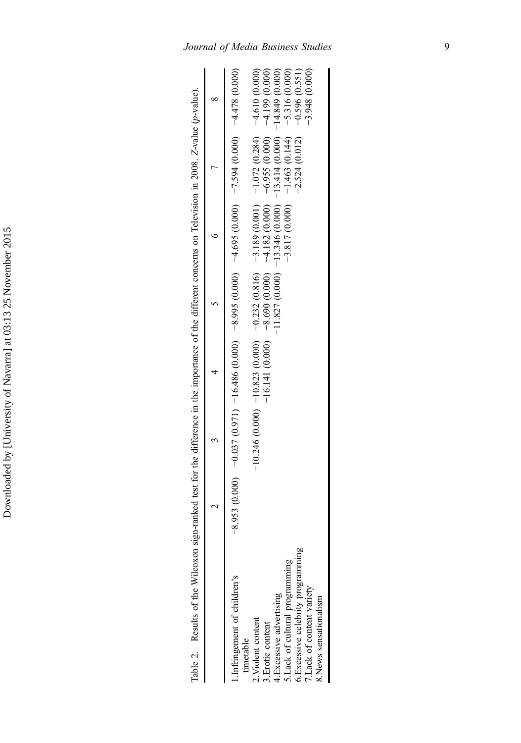Downloaded by [University of Navarra] at 03:13 25 November 2015 Downloaded by [University of Navarra] at 03:13 25 November 2015

<span id="page-9-0"></span>

| Table 2. Results of the Wilcoxon sign-ranked test for the difference in the importance of the different concerns on Television in 2008. Z-value (p-value).                                                                                       |  |                                                                                                                                                                                                                                                                                                                                                |                                 |                 |                                                          |                                                                         |
|--------------------------------------------------------------------------------------------------------------------------------------------------------------------------------------------------------------------------------------------------|--|------------------------------------------------------------------------------------------------------------------------------------------------------------------------------------------------------------------------------------------------------------------------------------------------------------------------------------------------|---------------------------------|-----------------|----------------------------------------------------------|-------------------------------------------------------------------------|
|                                                                                                                                                                                                                                                  |  |                                                                                                                                                                                                                                                                                                                                                |                                 |                 |                                                          |                                                                         |
| 6. Excessive celebrity programming<br>5. Lack of cultural programming<br>.Infringement of children's<br>7. Lack of content variety<br>4. Excessive advertising<br>8. News sensationalism<br>2. Violent content<br>3. Erotic content<br>timetable |  | (000'0) 8kt't-- (000'0) t6S'.L- (000'0) S69't-- (000'0) S66'8-- (000'0) 98t'91--(116'0) L50'0-- (000'0) ES6'8-<br>(00000) 019 +T (+ δενο (0201) - COOOO (020101 απέ της δουδιανικής δουδιανικής δουδιανικής δουδιανικής δουδιανικής δουδιανικής δουδιανικής δουδιανικής δουδιανικής δουδιανικής δουδιανικής δουδιανικής δουδιανικής δουδιανική | $-11.827(0.000) -13.346(0.000)$ | $-3.817(0.000)$ | $-13.414(0.000) -$<br>$-1.463(0.144)$<br>$-2.524(0.012)$ | $-0.596(0.551)$<br>$-3.948(0.000)$<br>14.849 (0.000)<br>$-5.316(0.000)$ |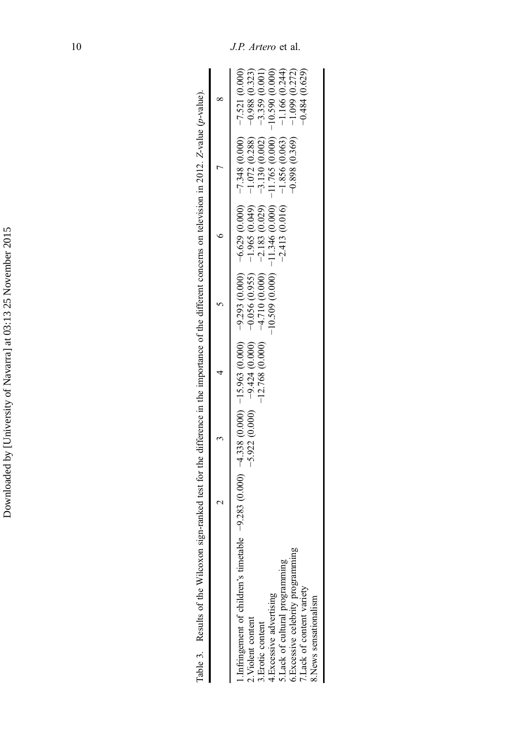|                                         | Table 3. Results of the Wilcoxon sign-ranked test for the difference in the importance of the different concerns on television in 2012. Z-value (p-value).                              |  |                                                                                                                                                                   |                                                     |                                                                                          |                                                                          |                                                                                                                  |
|-----------------------------------------|-----------------------------------------------------------------------------------------------------------------------------------------------------------------------------------------|--|-------------------------------------------------------------------------------------------------------------------------------------------------------------------|-----------------------------------------------------|------------------------------------------------------------------------------------------|--------------------------------------------------------------------------|------------------------------------------------------------------------------------------------------------------|
|                                         |                                                                                                                                                                                         |  |                                                                                                                                                                   |                                                     |                                                                                          |                                                                          |                                                                                                                  |
| 2. Violent content<br>8. Erotic content | Infringement of children's timetable<br>. Excessive celebrity programming<br>Lack of cultural programming<br>Lack of content variety<br>Excessive advertising<br>3. News sensationalism |  | (000´0) [ISZ'Z- (000´0) 8キヒ'Z- (000´0) 6Z9'9- (000´0) 5GZ'6- (000´0) 89S'SI-(000´0) 88ST e-(000´0) E 8SZ'6-)<br>$-5.922(0.000) -9.424(0.000)$<br>$-12.768(0.000)$ | $-0.056(0.955)$<br>$-4.710(0.000)$<br>10.509(0.000) | $-11.346(0.000) -11.765(0.000)$<br>$-2.413(0.016)$<br>$-1.965(0.049)$<br>$-2.183(0.029)$ | $-1.072(0.288)$<br>$-1.856(0.063)$<br>$-0.898(0.369)$<br>$-3.130(0.002)$ | $-1.166(0.244)$<br>$-1.099(0.272)$<br>$-0.988(0.323)$<br>$-3.359(0.001)$<br>$-10.590(0.0000)$<br>$-0.484(0.629)$ |

<span id="page-10-0"></span>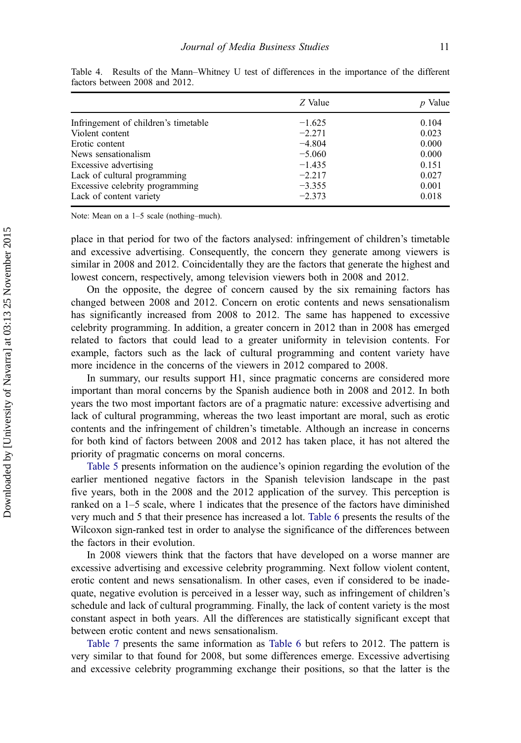|                                      | Z Value  | Value |
|--------------------------------------|----------|-------|
| Infringement of children's timetable | $-1.625$ | 0.104 |
| Violent content                      | $-2.271$ | 0.023 |
| Erotic content                       | $-4.804$ | 0.000 |
| News sensationalism                  | $-5.060$ | 0.000 |
| Excessive advertising                | $-1.435$ | 0.151 |
| Lack of cultural programming         | $-2.217$ | 0.027 |
| Excessive celebrity programming      | $-3.355$ | 0.001 |
| Lack of content variety              | $-2.373$ | 0.018 |

<span id="page-11-0"></span>Table 4. Results of the Mann–Whitney U test of differences in the importance of the different factors between 2008 and 2012.

Note: Mean on a 1–5 scale (nothing–much).

place in that period for two of the factors analysed: infringement of children's timetable and excessive advertising. Consequently, the concern they generate among viewers is similar in 2008 and 2012. Coincidentally they are the factors that generate the highest and lowest concern, respectively, among television viewers both in 2008 and 2012.

On the opposite, the degree of concern caused by the six remaining factors has changed between 2008 and 2012. Concern on erotic contents and news sensationalism has significantly increased from 2008 to 2012. The same has happened to excessive celebrity programming. In addition, a greater concern in 2012 than in 2008 has emerged related to factors that could lead to a greater uniformity in television contents. For example, factors such as the lack of cultural programming and content variety have more incidence in the concerns of the viewers in 2012 compared to 2008.

In summary, our results support H1, since pragmatic concerns are considered more important than moral concerns by the Spanish audience both in 2008 and 2012. In both years the two most important factors are of a pragmatic nature: excessive advertising and lack of cultural programming, whereas the two least important are moral, such as erotic contents and the infringement of children's timetable. Although an increase in concerns for both kind of factors between 2008 and 2012 has taken place, it has not altered the priority of pragmatic concerns on moral concerns.

[Table 5](#page-12-0) presents information on the audience's opinion regarding the evolution of the earlier mentioned negative factors in the Spanish television landscape in the past five years, both in the 2008 and the 2012 application of the survey. This perception is ranked on a 1–5 scale, where 1 indicates that the presence of the factors have diminished very much and 5 that their presence has increased a lot. [Table 6](#page-13-0) presents the results of the Wilcoxon sign-ranked test in order to analyse the significance of the differences between the factors in their evolution.

In 2008 viewers think that the factors that have developed on a worse manner are excessive advertising and excessive celebrity programming. Next follow violent content, erotic content and news sensationalism. In other cases, even if considered to be inadequate, negative evolution is perceived in a lesser way, such as infringement of children's schedule and lack of cultural programming. Finally, the lack of content variety is the most constant aspect in both years. All the differences are statistically significant except that between erotic content and news sensationalism.

[Table 7](#page-14-0) presents the same information as [Table 6](#page-13-0) but refers to 2012. The pattern is very similar to that found for 2008, but some differences emerge. Excessive advertising and excessive celebrity programming exchange their positions, so that the latter is the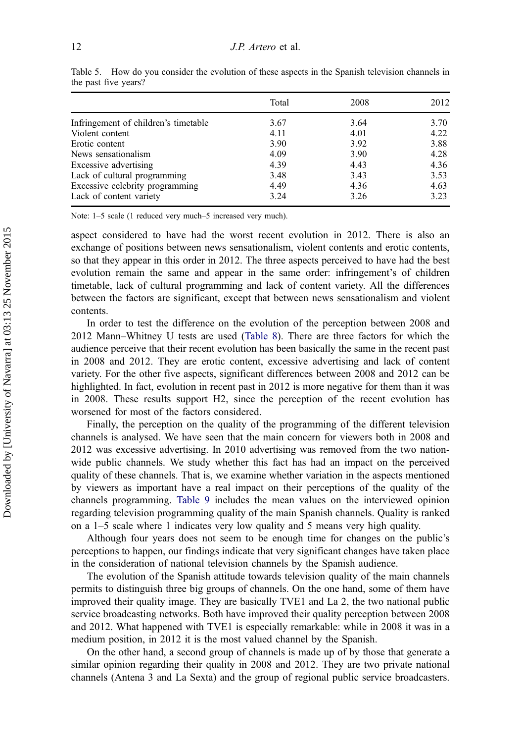|                                      | Total | 2008 | 2012 |
|--------------------------------------|-------|------|------|
| Infringement of children's timetable | 3.67  | 3.64 | 3.70 |
| Violent content                      | 4.11  | 4.01 | 4.22 |
| Erotic content                       | 3.90  | 3.92 | 3.88 |
| News sensationalism                  | 4.09  | 3.90 | 4.28 |
| Excessive advertising                | 4.39  | 4.43 | 4.36 |
| Lack of cultural programming         | 3.48  | 3.43 | 3.53 |
| Excessive celebrity programming      | 4.49  | 4.36 | 4.63 |
| Lack of content variety              | 3.24  | 3.26 | 3.23 |

<span id="page-12-0"></span>Table 5. How do you consider the evolution of these aspects in the Spanish television channels in the past five years?

Note: 1–5 scale (1 reduced very much–5 increased very much).

aspect considered to have had the worst recent evolution in 2012. There is also an exchange of positions between news sensationalism, violent contents and erotic contents, so that they appear in this order in 2012. The three aspects perceived to have had the best evolution remain the same and appear in the same order: infringement's of children timetable, lack of cultural programming and lack of content variety. All the differences between the factors are significant, except that between news sensationalism and violent contents.

In order to test the difference on the evolution of the perception between 2008 and 2012 Mann–Whitney U tests are used ([Table 8\)](#page-15-0). There are three factors for which the audience perceive that their recent evolution has been basically the same in the recent past in 2008 and 2012. They are erotic content, excessive advertising and lack of content variety. For the other five aspects, significant differences between 2008 and 2012 can be highlighted. In fact, evolution in recent past in 2012 is more negative for them than it was in 2008. These results support H2, since the perception of the recent evolution has worsened for most of the factors considered.

Finally, the perception on the quality of the programming of the different television channels is analysed. We have seen that the main concern for viewers both in 2008 and 2012 was excessive advertising. In 2010 advertising was removed from the two nationwide public channels. We study whether this fact has had an impact on the perceived quality of these channels. That is, we examine whether variation in the aspects mentioned by viewers as important have a real impact on their perceptions of the quality of the channels programming. [Table 9](#page-15-0) includes the mean values on the interviewed opinion regarding television programming quality of the main Spanish channels. Quality is ranked on a 1–5 scale where 1 indicates very low quality and 5 means very high quality.

Although four years does not seem to be enough time for changes on the public's perceptions to happen, our findings indicate that very significant changes have taken place in the consideration of national television channels by the Spanish audience.

The evolution of the Spanish attitude towards television quality of the main channels permits to distinguish three big groups of channels. On the one hand, some of them have improved their quality image. They are basically TVE1 and La 2, the two national public service broadcasting networks. Both have improved their quality perception between 2008 and 2012. What happened with TVE1 is especially remarkable: while in 2008 it was in a medium position, in 2012 it is the most valued channel by the Spanish.

On the other hand, a second group of channels is made up of by those that generate a similar opinion regarding their quality in 2008 and 2012. They are two private national channels (Antena 3 and La Sexta) and the group of regional public service broadcasters.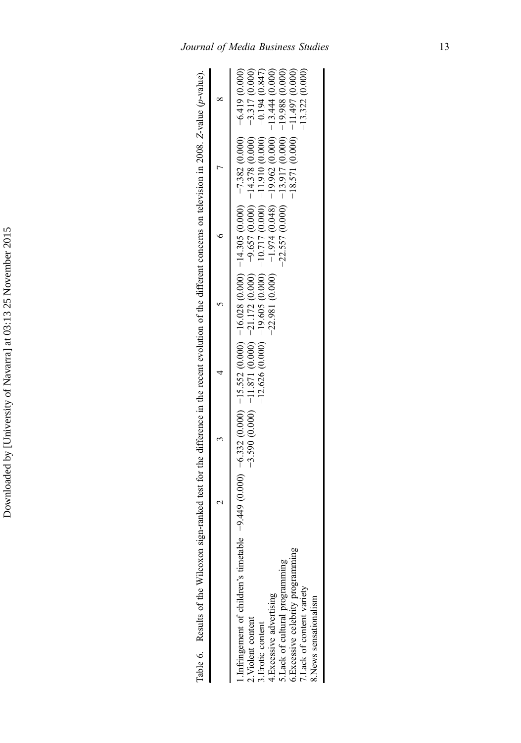Downloaded by [University of Navarra] at 03:13 25 November 2015 Downloaded by [University of Navarra] at 03:13 25 November 2015

<span id="page-13-0"></span>

| í                                                | ١<br>¢          |
|--------------------------------------------------|-----------------|
| j<br>١                                           | ľ               |
|                                                  |                 |
|                                                  |                 |
|                                                  | İ               |
|                                                  | ١               |
| 5<br>į                                           | J<br>$\epsilon$ |
| j<br>5<br>2<br>$\sim$ anita of $\sim$<br>NGSUILS |                 |
| rable 6.<br>F                                    |                 |

| Infringement of children's timetable $-9.449$ (0.000) $-6.332$ (0.000) $-16.028$ (0.000)<br>2. Violent content |  |                  | $-3.590(0.000)$ $-11.871(0.000)$ $-21.172(0.000)$ | $-14.305(0.000)$<br>$-9.657(0.000)$ | $-7.382(0.000)$<br>$-14.378(0.000)$ | $-6.419(0.000)$<br>$-3.317(0.000)$ |
|----------------------------------------------------------------------------------------------------------------|--|------------------|---------------------------------------------------|-------------------------------------|-------------------------------------|------------------------------------|
| 3. Erotic content                                                                                              |  | $-12.626(0.000)$ | $-19.605(0.000)$                                  | $-10.717(0.000)$                    | $-11.910(0.000)$                    | $-0.194(0.847)$                    |
| .Excessive advertising                                                                                         |  |                  | $-22.981(0.000)$                                  | $-1.974(0.048)$                     | $-19.962(0.000)$                    | $-13.444(0.000)$                   |
| Lack of cultural programming                                                                                   |  |                  |                                                   | $-22.557(0.000)$                    | $-13.917(0.000)$                    | $-19.988(0.000)$                   |
| Excessive celebrity programming                                                                                |  |                  |                                                   |                                     | $-18.571(0.000)$                    | $-11.497(0.000)$                   |
| 7. Lack of content variety                                                                                     |  |                  |                                                   |                                     |                                     | 13.322 (0.000)                     |
| 8.News sensationalism                                                                                          |  |                  |                                                   |                                     |                                     |                                    |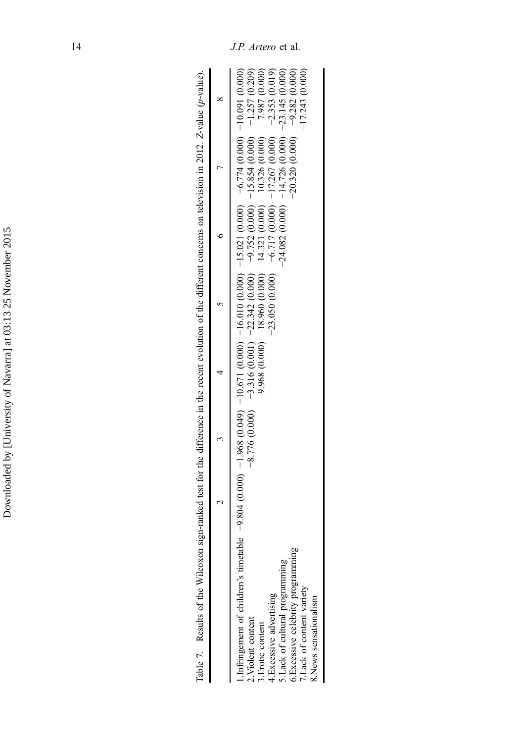| Infringement of children's timetable<br>5. Excessive celebrity programming<br>5.Lack of cultural programming<br>7. Lack of content variety<br>4. Excessive advertising<br>8. News sensationalism<br>2. Violent content<br>3. Erotic content | $-8.776(0.000)$ | (000'0) 010'9T- (000'0) 12'9'0T- (6#0'0) 896'T- (000'0) +08'6-<br>$-3.316(0.001)$<br>$-9.968(0.000)$ | $-22.342(0.000)$<br>$-23.050(0.000)$<br>$-18.960(0.000)$ | $-15.021(0.000)$<br>$-9.752(0.000)$<br>$-14.321(0.000)$<br>$-6.717(0.000)$<br>$-24.082(0.000)$ | $-6.774(0.000)$<br>$-15.854(0.000)$<br>$-10.326(0.000)$<br>$-20.320(0.000)$<br>$-17.267(0.000)$<br>$-14.726(0.000)$ | $-2.353(0.019)$<br>$-9.282(0.000)$<br>$-1.257(0.209)$<br>$-7.987(0.000)$<br>$-23.145(0.000)$<br>$-17.243(0.000)$<br>$-10.091(0.000$ |
|---------------------------------------------------------------------------------------------------------------------------------------------------------------------------------------------------------------------------------------------|-----------------|------------------------------------------------------------------------------------------------------|----------------------------------------------------------|------------------------------------------------------------------------------------------------|---------------------------------------------------------------------------------------------------------------------|-------------------------------------------------------------------------------------------------------------------------------------|

<span id="page-14-0"></span>Table 7. Results of the Wilcoxon sign-ranked test for the difference in the recent evolution of the different concerns on television in 2012. Z-value (p-value). Z-value (p-value). Table 7. Results of the Wilcoxon sign-ranked test for the difference in the recent evolution of the different concerns on television in 2012.

Downloaded by [University of Navarra] at 03:13 25 November 2015

Downloaded by [University of Navarra] at 03:13 25 November 2015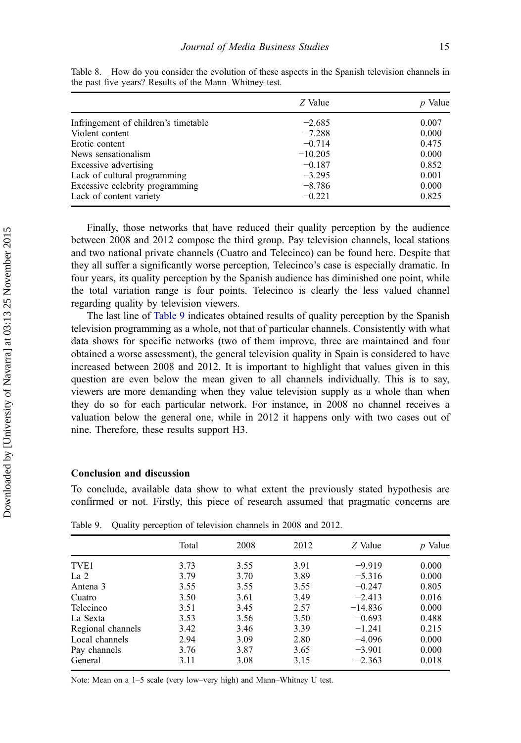|                                      | Z Value   | Value |
|--------------------------------------|-----------|-------|
| Infringement of children's timetable | $-2.685$  | 0.007 |
| Violent content                      | $-7.288$  | 0.000 |
| Erotic content                       | $-0.714$  | 0.475 |
| News sensationalism                  | $-10.205$ | 0.000 |
| Excessive advertising                | $-0.187$  | 0.852 |
| Lack of cultural programming         | $-3.295$  | 0.001 |
| Excessive celebrity programming      | $-8.786$  | 0.000 |
| Lack of content variety              | $-0.221$  | 0.825 |

<span id="page-15-0"></span>Table 8. How do you consider the evolution of these aspects in the Spanish television channels in the past five years? Results of the Mann–Whitney test.

Finally, those networks that have reduced their quality perception by the audience between 2008 and 2012 compose the third group. Pay television channels, local stations and two national private channels (Cuatro and Telecinco) can be found here. Despite that they all suffer a significantly worse perception, Telecinco's case is especially dramatic. In four years, its quality perception by the Spanish audience has diminished one point, while the total variation range is four points. Telecinco is clearly the less valued channel regarding quality by television viewers.

The last line of Table 9 indicates obtained results of quality perception by the Spanish television programming as a whole, not that of particular channels. Consistently with what data shows for specific networks (two of them improve, three are maintained and four obtained a worse assessment), the general television quality in Spain is considered to have increased between 2008 and 2012. It is important to highlight that values given in this question are even below the mean given to all channels individually. This is to say, viewers are more demanding when they value television supply as a whole than when they do so for each particular network. For instance, in 2008 no channel receives a valuation below the general one, while in 2012 it happens only with two cases out of nine. Therefore, these results support H3.

#### Conclusion and discussion

To conclude, available data show to what extent the previously stated hypothesis are confirmed or not. Firstly, this piece of research assumed that pragmatic concerns are

| Total | 2008 | 2012 | Z Value   | <i>p</i> Value |
|-------|------|------|-----------|----------------|
| 3.73  | 3.55 | 3.91 | $-9.919$  | 0.000          |
| 3.79  | 3.70 | 3.89 | $-5.316$  | 0.000          |
| 3.55  | 3.55 | 3.55 | $-0.247$  | 0.805          |
| 3.50  | 3.61 | 3.49 | $-2.413$  | 0.016          |
| 3.51  | 3.45 | 2.57 | $-14.836$ | 0.000          |
| 3.53  | 3.56 | 3.50 | $-0.693$  | 0.488          |
| 3.42  | 3.46 | 3.39 | $-1.241$  | 0.215          |
| 2.94  | 3.09 | 2.80 | $-4.096$  | 0.000          |
| 3.76  | 3.87 | 3.65 | $-3.901$  | 0.000          |
| 3.11  | 3.08 | 3.15 | $-2.363$  | 0.018          |
|       |      |      |           |                |

Table 9. Quality perception of television channels in 2008 and 2012.

Note: Mean on a 1–5 scale (very low–very high) and Mann–Whitney U test.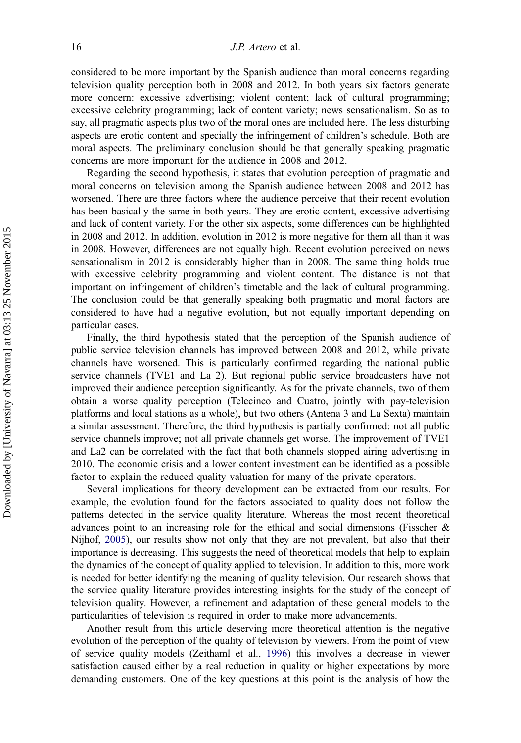considered to be more important by the Spanish audience than moral concerns regarding television quality perception both in 2008 and 2012. In both years six factors generate more concern: excessive advertising; violent content; lack of cultural programming; excessive celebrity programming; lack of content variety; news sensationalism. So as to say, all pragmatic aspects plus two of the moral ones are included here. The less disturbing aspects are erotic content and specially the infringement of children's schedule. Both are moral aspects. The preliminary conclusion should be that generally speaking pragmatic concerns are more important for the audience in 2008 and 2012.

Regarding the second hypothesis, it states that evolution perception of pragmatic and moral concerns on television among the Spanish audience between 2008 and 2012 has worsened. There are three factors where the audience perceive that their recent evolution has been basically the same in both years. They are erotic content, excessive advertising and lack of content variety. For the other six aspects, some differences can be highlighted in 2008 and 2012. In addition, evolution in 2012 is more negative for them all than it was in 2008. However, differences are not equally high. Recent evolution perceived on news sensationalism in 2012 is considerably higher than in 2008. The same thing holds true with excessive celebrity programming and violent content. The distance is not that important on infringement of children's timetable and the lack of cultural programming. The conclusion could be that generally speaking both pragmatic and moral factors are considered to have had a negative evolution, but not equally important depending on particular cases.

Finally, the third hypothesis stated that the perception of the Spanish audience of public service television channels has improved between 2008 and 2012, while private channels have worsened. This is particularly confirmed regarding the national public service channels (TVE1 and La 2). But regional public service broadcasters have not improved their audience perception significantly. As for the private channels, two of them obtain a worse quality perception (Telecinco and Cuatro, jointly with pay-television platforms and local stations as a whole), but two others (Antena 3 and La Sexta) maintain a similar assessment. Therefore, the third hypothesis is partially confirmed: not all public service channels improve; not all private channels get worse. The improvement of TVE1 and La2 can be correlated with the fact that both channels stopped airing advertising in 2010. The economic crisis and a lower content investment can be identified as a possible factor to explain the reduced quality valuation for many of the private operators.

Several implications for theory development can be extracted from our results. For example, the evolution found for the factors associated to quality does not follow the patterns detected in the service quality literature. Whereas the most recent theoretical advances point to an increasing role for the ethical and social dimensions (Fisscher & Nijhof, [2005](#page-18-0)), our results show not only that they are not prevalent, but also that their importance is decreasing. This suggests the need of theoretical models that help to explain the dynamics of the concept of quality applied to television. In addition to this, more work is needed for better identifying the meaning of quality television. Our research shows that the service quality literature provides interesting insights for the study of the concept of television quality. However, a refinement and adaptation of these general models to the particularities of television is required in order to make more advancements.

Another result from this article deserving more theoretical attention is the negative evolution of the perception of the quality of television by viewers. From the point of view of service quality models (Zeithaml et al., [1996](#page-19-0)) this involves a decrease in viewer satisfaction caused either by a real reduction in quality or higher expectations by more demanding customers. One of the key questions at this point is the analysis of how the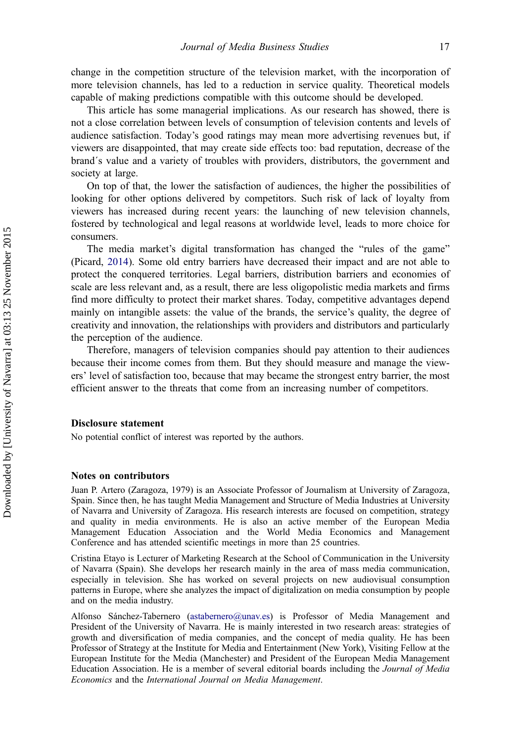change in the competition structure of the television market, with the incorporation of more television channels, has led to a reduction in service quality. Theoretical models capable of making predictions compatible with this outcome should be developed.

This article has some managerial implications. As our research has showed, there is not a close correlation between levels of consumption of television contents and levels of audience satisfaction. Today's good ratings may mean more advertising revenues but, if viewers are disappointed, that may create side effects too: bad reputation, decrease of the brand´s value and a variety of troubles with providers, distributors, the government and society at large.

On top of that, the lower the satisfaction of audiences, the higher the possibilities of looking for other options delivered by competitors. Such risk of lack of loyalty from viewers has increased during recent years: the launching of new television channels, fostered by technological and legal reasons at worldwide level, leads to more choice for consumers.

The media market's digital transformation has changed the "rules of the game" (Picard, [2014\)](#page-19-0). Some old entry barriers have decreased their impact and are not able to protect the conquered territories. Legal barriers, distribution barriers and economies of scale are less relevant and, as a result, there are less oligopolistic media markets and firms find more difficulty to protect their market shares. Today, competitive advantages depend mainly on intangible assets: the value of the brands, the service's quality, the degree of creativity and innovation, the relationships with providers and distributors and particularly the perception of the audience.

Therefore, managers of television companies should pay attention to their audiences because their income comes from them. But they should measure and manage the viewers' level of satisfaction too, because that may became the strongest entry barrier, the most efficient answer to the threats that come from an increasing number of competitors.

## Disclosure statement

No potential conflict of interest was reported by the authors.

## Notes on contributors

Juan P. Artero (Zaragoza, 1979) is an Associate Professor of Journalism at University of Zaragoza, Spain. Since then, he has taught Media Management and Structure of Media Industries at University of Navarra and University of Zaragoza. His research interests are focused on competition, strategy and quality in media environments. He is also an active member of the European Media Management Education Association and the World Media Economics and Management Conference and has attended scientific meetings in more than 25 countries.

Cristina Etayo is Lecturer of Marketing Research at the School of Communication in the University of Navarra (Spain). She develops her research mainly in the area of mass media communication, especially in television. She has worked on several projects on new audiovisual consumption patterns in Europe, where she analyzes the impact of digitalization on media consumption by people and on the media industry.

Alfonso Sánchez-Tabernero (astabernero@unav.es) is Professor of Media Management and President of the University of Navarra. He is mainly interested in two research areas: strategies of growth and diversification of media companies, and the concept of media quality. He has been Professor of Strategy at the Institute for Media and Entertainment (New York), Visiting Fellow at the European Institute for the Media (Manchester) and President of the European Media Management Education Association. He is a member of several editorial boards including the Journal of Media Economics and the International Journal on Media Management.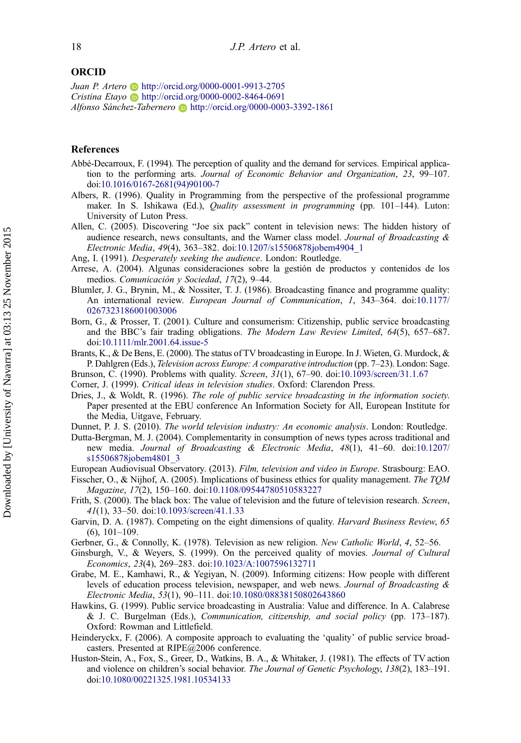## <span id="page-18-0"></span>ORCID

Juan P. Artero **b** <http://orcid.org/0000-0001-9913-2705> Cristina Etayo <http://orcid.org/0000-0002-8464-0691> Alfonso Sánchez-Tabernero <http://orcid.org/0000-0003-3392-1861>

## References

- Abbé-Decarroux, F. (1994). The perception of quality and the demand for services. Empirical application to the performing arts. Journal of Economic Behavior and Organization, 23, 99–107. doi:[10.1016/0167-2681\(94\)90100-7](http://dx.doi.org/10.1016/0167-2681(94)90100-7)
- Albers, R. (1996). Quality in Programming from the perspective of the professional programme maker. In S. Ishikawa (Ed.), *Quality assessment in programming* (pp. 101-144). Luton: University of Luton Press.
- Allen, C. (2005). Discovering "Joe six pack" content in television news: The hidden history of audience research, news consultants, and the Warner class model. Journal of Broadcasting & Electronic Media, 49(4), 363–382. doi:[10.1207/s15506878jobem4904\\_1](http://dx.doi.org/10.1207/s15506878jobem4904%5F1)
- Ang, I. (1991). Desperately seeking the audience. London: Routledge.
- Arrese, A. (2004). Algunas consideraciones sobre la gestión de productos y contenidos de los medios. Comunicación y Sociedad, 17(2), 9–44.
- Blumler, J. G., Brynin, M., & Nossiter, T. J. (1986). Broadcasting finance and programme quality: An international review. European Journal of Communication, 1, 343-364. doi:[10.1177/](http://dx.doi.org/10.1177/0267323186001003006) [0267323186001003006](http://dx.doi.org/10.1177/0267323186001003006)
- Born, G., & Prosser, T. (2001). Culture and consumerism: Citizenship, public service broadcasting and the BBC's fair trading obligations. The Modern Law Review Limited, 64(5), 657–687. doi:[10.1111/mlr.2001.64.issue-5](http://dx.doi.org/10.1111/mlr.2001.64.issue-5)
- Brants, K., & De Bens, E. (2000). The status of TV broadcasting in Europe. In J. Wieten, G. Murdock, & P. Dahlgren (Eds.), Television across Europe: A comparative introduction (pp. 7-23). London: Sage.
- Brunson, C. (1990). Problems with quality. Screen, 31(1), 67–90. doi:[10.1093/screen/31.1.67](http://dx.doi.org/10.1093/screen/31.1.67)
- Corner, J. (1999). Critical ideas in television studies. Oxford: Clarendon Press.
- Dries, J., & Woldt, R. (1996). The role of public service broadcasting in the information society. Paper presented at the EBU conference An Information Society for All, European Institute for the Media, Uitgave, February.
- Dunnet, P. J. S. (2010). The world television industry: An economic analysis. London: Routledge.
- Dutta-Bergman, M. J. (2004). Complementarity in consumption of news types across traditional and new media. Journal of Broadcasting & Electronic Media, 48(1), 41–60. doi:[10.1207/](http://dx.doi.org/10.1207/s15506878jobem4801%5F3) [s15506878jobem4801\\_3](http://dx.doi.org/10.1207/s15506878jobem4801%5F3)
- European Audiovisual Observatory. (2013). Film, television and video in Europe. Strasbourg: EAO.
- Fisscher, O., & Nijhof, A. (2005). Implications of business ethics for quality management. The TQM Magazine, 17(2), 150–160. doi:[10.1108/09544780510583227](http://dx.doi.org/10.1108/09544780510583227)
- Frith, S. (2000). The black box: The value of television and the future of television research. Screen, 41(1), 33–50. doi:[10.1093/screen/41.1.33](http://dx.doi.org/10.1093/screen/41.1.33)
- Garvin, D. A. (1987). Competing on the eight dimensions of quality. Harvard Business Review, 65 (6), 101–109.
- Gerbner, G., & Connolly, K. (1978). Television as new religion. New Catholic World, 4, 52–56.
- Ginsburgh, V., & Weyers, S. (1999). On the perceived quality of movies. Journal of Cultural Economics, 23(4), 269–283. doi:[10.1023/A:1007596132711](http://dx.doi.org/10.1023/A:1007596132711)
- Grabe, M. E., Kamhawi, R., & Yegiyan, N. (2009). Informing citizens: How people with different levels of education process television, newspaper, and web news. Journal of Broadcasting & Electronic Media, 53(1), 90–111. doi:[10.1080/08838150802643860](http://dx.doi.org/10.1080/08838150802643860)
- Hawkins, G. (1999). Public service broadcasting in Australia: Value and difference. In A. Calabrese & J. C. Burgelman (Eds.), Communication, citizenship, and social policy (pp. 173–187). Oxford: Rowman and Littlefield.
- Heinderyckx, F. (2006). A composite approach to evaluating the 'quality' of public service broadcasters. Presented at RIPE@2006 conference.
- Huston-Stein, A., Fox, S., Greer, D., Watkins, B. A., & Whitaker, J. (1981). The effects of TV action and violence on children's social behavior. The Journal of Genetic Psychology, 138(2), 183-191. doi:[10.1080/00221325.1981.10534133](http://dx.doi.org/10.1080/00221325.1981.10534133)